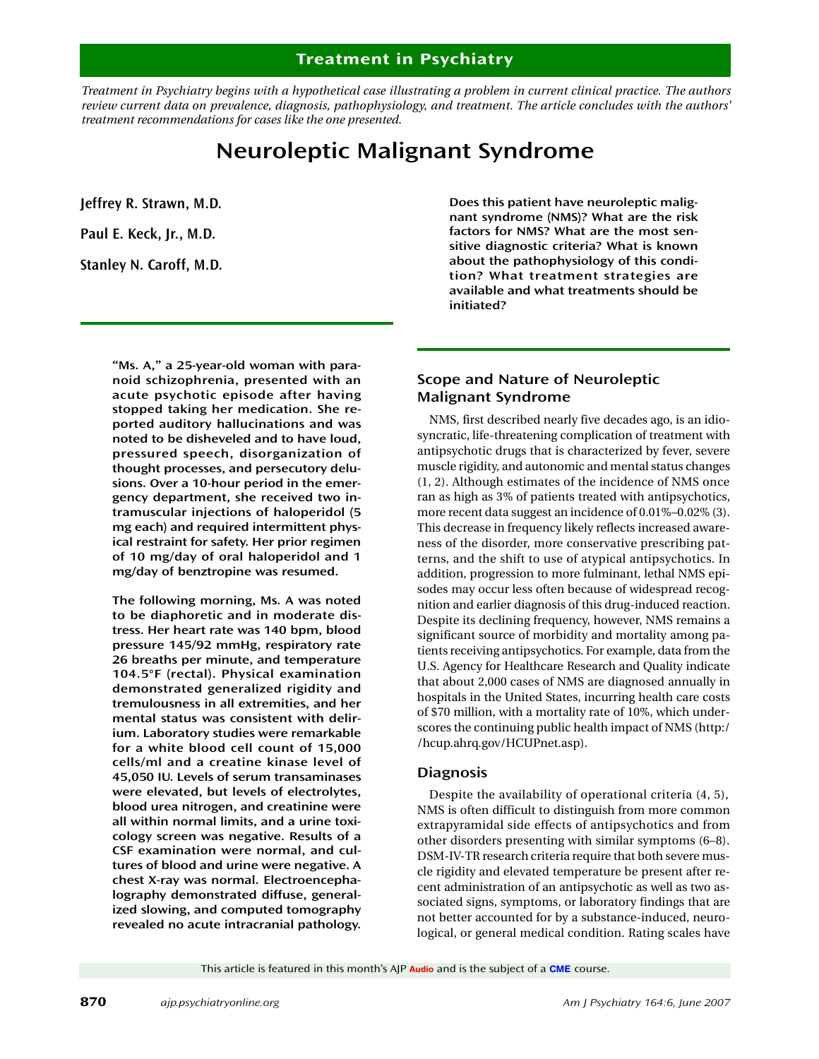# **Treatment in Psychiatry**

*Treatment in Psychiatry begins with a hypothetical case illustrating a problem in current clinical practice. The authors review current data on prevalence, diagnosis, pathophysiology, and treatment. The article concludes with the authors' treatment recommendations for cases like the one presented.* 

# **Neuroleptic Malignant Syndrome**

**Jeffrey R. Strawn, M.D.**

**Paul E. Keck, Jr., M.D.**

**Stanley N. Caroff, M.D.**

**"Ms. A," a 25-year-old woman with paranoid schizophrenia, presented with an acute psychotic episode after having stopped taking her medication. She reported auditory hallucinations and was noted to be disheveled and to have loud, pressured speech, disorganization of thought processes, and persecutory delusions. Over a 10-hour period in the emergency department, she received two intramuscular injections of haloperidol (5 mg each) and required intermittent physical restraint for safety. Her prior regimen of 10 mg/day of oral haloperidol and 1 mg/day of benztropine was resumed.**

**The following morning, Ms. A was noted to be diaphoretic and in moderate distress. Her heart rate was 140 bpm, blood pressure 145/92 mmHg, respiratory rate 26 breaths per minute, and temperature 104.5°F (rectal). Physical examination demonstrated generalized rigidity and tremulousness in all extremities, and her mental status was consistent with delirium. Laboratory studies were remarkable for a white blood cell count of 15,000 cells/ml and a creatine kinase level of 45,050 IU. Levels of serum transaminases were elevated, but levels of electrolytes, blood urea nitrogen, and creatinine were all within normal limits, and a urine toxicology screen was negative. Results of a CSF examination were normal, and cultures of blood and urine were negative. A chest X-ray was normal. Electroencephalography demonstrated diffuse, generalized slowing, and computed tomography revealed no acute intracranial pathology.**

**Does this patient have neuroleptic malignant syndrome (NMS)? What are the risk factors for NMS? What are the most sensitive diagnostic criteria? What is known about the pathophysiology of this condition? What treatment strategies are available and what treatments should be initiated?**

# **Scope and Nature of Neuroleptic Malignant Syndrome**

NMS, first described nearly five decades ago, is an idiosyncratic, life-threatening complication of treatment with antipsychotic drugs that is characterized by fever, severe muscle rigidity, and autonomic and mental status changes (1, 2). Although estimates of the incidence of NMS once ran as high as 3% of patients treated with antipsychotics, more recent data suggest an incidence of 0.01%–0.02% (3). This decrease in frequency likely reflects increased awareness of the disorder, more conservative prescribing patterns, and the shift to use of atypical antipsychotics. In addition, progression to more fulminant, lethal NMS episodes may occur less often because of widespread recognition and earlier diagnosis of this drug-induced reaction. Despite its declining frequency, however, NMS remains a significant source of morbidity and mortality among patients receiving antipsychotics. For example, data from the U.S. Agency for Healthcare Research and Quality indicate that about 2,000 cases of NMS are diagnosed annually in hospitals in the United States, incurring health care costs of \$70 million, with a mortality rate of 10%, which underscores the continuing public health impact of NMS (http:/ /hcup.ahrq.gov/HCUPnet.asp).

## **Diagnosis**

Despite the availability of operational criteria (4, 5), NMS is often difficult to distinguish from more common extrapyramidal side effects of antipsychotics and from other disorders presenting with similar symptoms (6–8). DSM-IV-TR research criteria require that both severe muscle rigidity and elevated temperature be present after recent administration of an antipsychotic as well as two associated signs, symptoms, or laboratory findings that are not better accounted for by a substance-induced, neurological, or general medical condition. Rating scales have

This article is featured in this month's AJP **Audio** and is the subject of a **CME** course.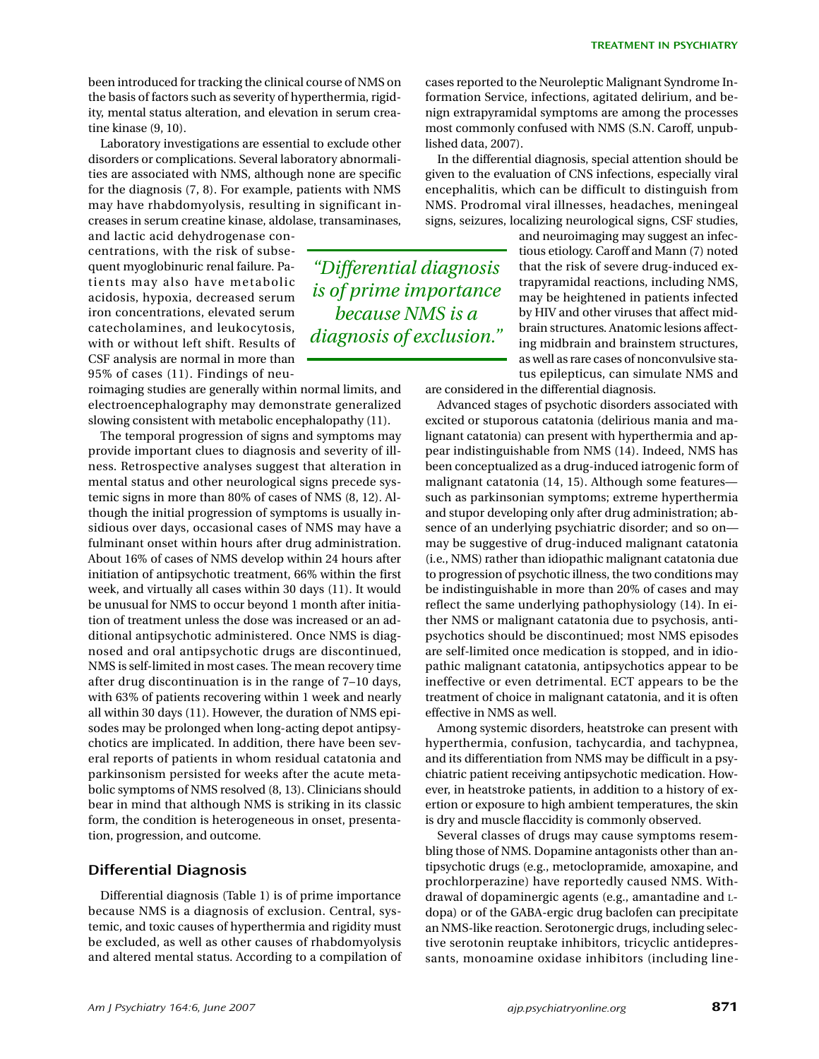been introduced for tracking the clinical course of NMS on the basis of factors such as severity of hyperthermia, rigidity, mental status alteration, and elevation in serum creatine kinase (9, 10).

Laboratory investigations are essential to exclude other disorders or complications. Several laboratory abnormalities are associated with NMS, although none are specific for the diagnosis (7, 8). For example, patients with NMS may have rhabdomyolysis, resulting in significant increases in serum creatine kinase, aldolase, transaminases,

and lactic acid dehydrogenase concentrations, with the risk of subsequent myoglobinuric renal failure. Patients may also have metabolic acidosis, hypoxia, decreased serum iron concentrations, elevated serum catecholamines, and leukocytosis, with or without left shift. Results of CSF analysis are normal in more than 95% of cases (11). Findings of neu-

roimaging studies are generally within normal limits, and electroencephalography may demonstrate generalized slowing consistent with metabolic encephalopathy (11).

The temporal progression of signs and symptoms may provide important clues to diagnosis and severity of illness. Retrospective analyses suggest that alteration in mental status and other neurological signs precede systemic signs in more than 80% of cases of NMS (8, 12). Although the initial progression of symptoms is usually insidious over days, occasional cases of NMS may have a fulminant onset within hours after drug administration. About 16% of cases of NMS develop within 24 hours after initiation of antipsychotic treatment, 66% within the first week, and virtually all cases within 30 days (11). It would be unusual for NMS to occur beyond 1 month after initiation of treatment unless the dose was increased or an additional antipsychotic administered. Once NMS is diagnosed and oral antipsychotic drugs are discontinued, NMS is self-limited in most cases. The mean recovery time after drug discontinuation is in the range of 7–10 days, with 63% of patients recovering within 1 week and nearly all within 30 days (11). However, the duration of NMS episodes may be prolonged when long-acting depot antipsychotics are implicated. In addition, there have been several reports of patients in whom residual catatonia and parkinsonism persisted for weeks after the acute metabolic symptoms of NMS resolved (8, 13). Clinicians should bear in mind that although NMS is striking in its classic form, the condition is heterogeneous in onset, presentation, progression, and outcome.

## **Differential Diagnosis**

Differential diagnosis (Table 1) is of prime importance because NMS is a diagnosis of exclusion. Central, systemic, and toxic causes of hyperthermia and rigidity must be excluded, as well as other causes of rhabdomyolysis and altered mental status. According to a compilation of

*"Differential diagnosis is of prime importance because NMS is a diagnosis of exclusion."*

cases reported to the Neuroleptic Malignant Syndrome Information Service, infections, agitated delirium, and benign extrapyramidal symptoms are among the processes most commonly confused with NMS (S.N. Caroff, unpublished data, 2007).

In the differential diagnosis, special attention should be given to the evaluation of CNS infections, especially viral encephalitis, which can be difficult to distinguish from NMS. Prodromal viral illnesses, headaches, meningeal signs, seizures, localizing neurological signs, CSF studies,

and neuroimaging may suggest an infectious etiology. Caroff and Mann (7) noted that the risk of severe drug-induced extrapyramidal reactions, including NMS, may be heightened in patients infected by HIV and other viruses that affect midbrain structures. Anatomic lesions affecting midbrain and brainstem structures, as well as rare cases of nonconvulsive status epilepticus, can simulate NMS and are considered in the differential diagnosis.

Advanced stages of psychotic disorders associated with excited or stuporous catatonia (delirious mania and malignant catatonia) can present with hyperthermia and appear indistinguishable from NMS (14). Indeed, NMS has been conceptualized as a drug-induced iatrogenic form of malignant catatonia (14, 15). Although some features such as parkinsonian symptoms; extreme hyperthermia and stupor developing only after drug administration; absence of an underlying psychiatric disorder; and so on may be suggestive of drug-induced malignant catatonia (i.e., NMS) rather than idiopathic malignant catatonia due to progression of psychotic illness, the two conditions may be indistinguishable in more than 20% of cases and may reflect the same underlying pathophysiology (14). In either NMS or malignant catatonia due to psychosis, antipsychotics should be discontinued; most NMS episodes are self-limited once medication is stopped, and in idiopathic malignant catatonia, antipsychotics appear to be ineffective or even detrimental. ECT appears to be the treatment of choice in malignant catatonia, and it is often effective in NMS as well.

Among systemic disorders, heatstroke can present with hyperthermia, confusion, tachycardia, and tachypnea, and its differentiation from NMS may be difficult in a psychiatric patient receiving antipsychotic medication. However, in heatstroke patients, in addition to a history of exertion or exposure to high ambient temperatures, the skin is dry and muscle flaccidity is commonly observed.

Several classes of drugs may cause symptoms resembling those of NMS. Dopamine antagonists other than antipsychotic drugs (e.g., metoclopramide, amoxapine, and prochlorperazine) have reportedly caused NMS. Withdrawal of dopaminergic agents (e.g., amantadine and Ldopa) or of the GABA-ergic drug baclofen can precipitate an NMS-like reaction. Serotonergic drugs, including selective serotonin reuptake inhibitors, tricyclic antidepressants, monoamine oxidase inhibitors (including line-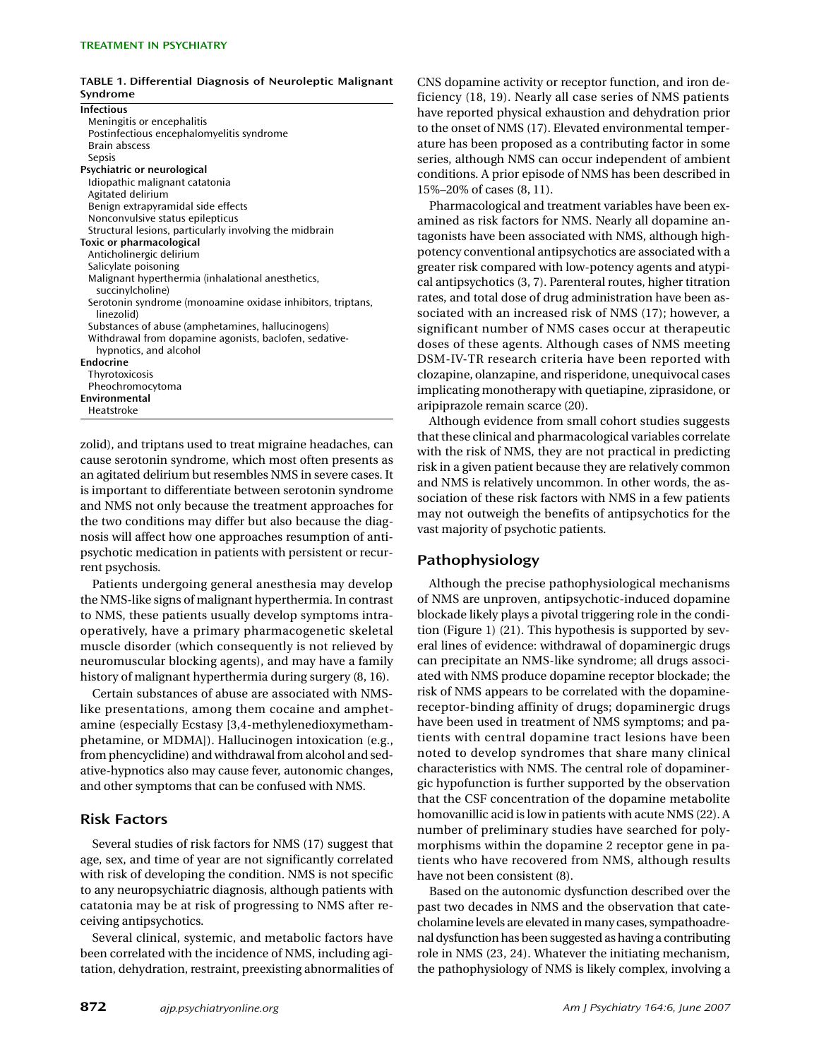#### **TABLE 1. Differential Diagnosis of Neuroleptic Malignant Syndrome**

| <b>Infectious</b>                                           |
|-------------------------------------------------------------|
| Meningitis or encephalitis                                  |
| Postinfectious encephalomyelitis syndrome                   |
| <b>Brain abscess</b>                                        |
| Sepsis                                                      |
| Psychiatric or neurological                                 |
| Idiopathic malignant catatonia                              |
| Agitated delirium                                           |
| Benign extrapyramidal side effects                          |
| Nonconvulsive status epilepticus                            |
| Structural lesions, particularly involving the midbrain     |
| Toxic or pharmacological                                    |
| Anticholinergic delirium                                    |
| Salicylate poisoning                                        |
| Malignant hyperthermia (inhalational anesthetics,           |
| succinylcholine)                                            |
| Serotonin syndrome (monoamine oxidase inhibitors, triptans, |
| linezolid)                                                  |
| Substances of abuse (amphetamines, hallucinogens)           |
| Withdrawal from dopamine agonists, baclofen, sedative-      |
| hypnotics, and alcohol                                      |
| Endocrine                                                   |
| Thyrotoxicosis                                              |
| Pheochromocytoma                                            |
| Environmental                                               |
| Heatstroke                                                  |

zolid), and triptans used to treat migraine headaches, can cause serotonin syndrome, which most often presents as an agitated delirium but resembles NMS in severe cases. It is important to differentiate between serotonin syndrome and NMS not only because the treatment approaches for the two conditions may differ but also because the diagnosis will affect how one approaches resumption of antipsychotic medication in patients with persistent or recurrent psychosis.

Patients undergoing general anesthesia may develop the NMS-like signs of malignant hyperthermia. In contrast to NMS, these patients usually develop symptoms intraoperatively, have a primary pharmacogenetic skeletal muscle disorder (which consequently is not relieved by neuromuscular blocking agents), and may have a family history of malignant hyperthermia during surgery (8, 16).

Certain substances of abuse are associated with NMSlike presentations, among them cocaine and amphetamine (especially Ecstasy [3,4-methylenedioxymethamphetamine, or MDMA]). Hallucinogen intoxication (e.g., from phencyclidine) and withdrawal from alcohol and sedative-hypnotics also may cause fever, autonomic changes, and other symptoms that can be confused with NMS.

## **Risk Factors**

Several studies of risk factors for NMS (17) suggest that age, sex, and time of year are not significantly correlated with risk of developing the condition. NMS is not specific to any neuropsychiatric diagnosis, although patients with catatonia may be at risk of progressing to NMS after receiving antipsychotics.

Several clinical, systemic, and metabolic factors have been correlated with the incidence of NMS, including agitation, dehydration, restraint, preexisting abnormalities of CNS dopamine activity or receptor function, and iron deficiency (18, 19). Nearly all case series of NMS patients have reported physical exhaustion and dehydration prior to the onset of NMS (17). Elevated environmental temperature has been proposed as a contributing factor in some series, although NMS can occur independent of ambient conditions. A prior episode of NMS has been described in 15%–20% of cases (8, 11).

Pharmacological and treatment variables have been examined as risk factors for NMS. Nearly all dopamine antagonists have been associated with NMS, although highpotency conventional antipsychotics are associated with a greater risk compared with low-potency agents and atypical antipsychotics (3, 7). Parenteral routes, higher titration rates, and total dose of drug administration have been associated with an increased risk of NMS (17); however, a significant number of NMS cases occur at therapeutic doses of these agents. Although cases of NMS meeting DSM-IV-TR research criteria have been reported with clozapine, olanzapine, and risperidone, unequivocal cases implicating monotherapy with quetiapine, ziprasidone, or aripiprazole remain scarce (20).

Although evidence from small cohort studies suggests that these clinical and pharmacological variables correlate with the risk of NMS, they are not practical in predicting risk in a given patient because they are relatively common and NMS is relatively uncommon. In other words, the association of these risk factors with NMS in a few patients may not outweigh the benefits of antipsychotics for the vast majority of psychotic patients.

## **Pathophysiology**

Although the precise pathophysiological mechanisms of NMS are unproven, antipsychotic-induced dopamine blockade likely plays a pivotal triggering role in the condition (Figure 1) (21). This hypothesis is supported by several lines of evidence: withdrawal of dopaminergic drugs can precipitate an NMS-like syndrome; all drugs associated with NMS produce dopamine receptor blockade; the risk of NMS appears to be correlated with the dopaminereceptor-binding affinity of drugs; dopaminergic drugs have been used in treatment of NMS symptoms; and patients with central dopamine tract lesions have been noted to develop syndromes that share many clinical characteristics with NMS. The central role of dopaminergic hypofunction is further supported by the observation that the CSF concentration of the dopamine metabolite homovanillic acid is low in patients with acute NMS (22). A number of preliminary studies have searched for polymorphisms within the dopamine 2 receptor gene in patients who have recovered from NMS, although results have not been consistent (8).

Based on the autonomic dysfunction described over the past two decades in NMS and the observation that catecholamine levels are elevated in many cases, sympathoadrenal dysfunction has been suggested as having a contributing role in NMS (23, 24). Whatever the initiating mechanism, the pathophysiology of NMS is likely complex, involving a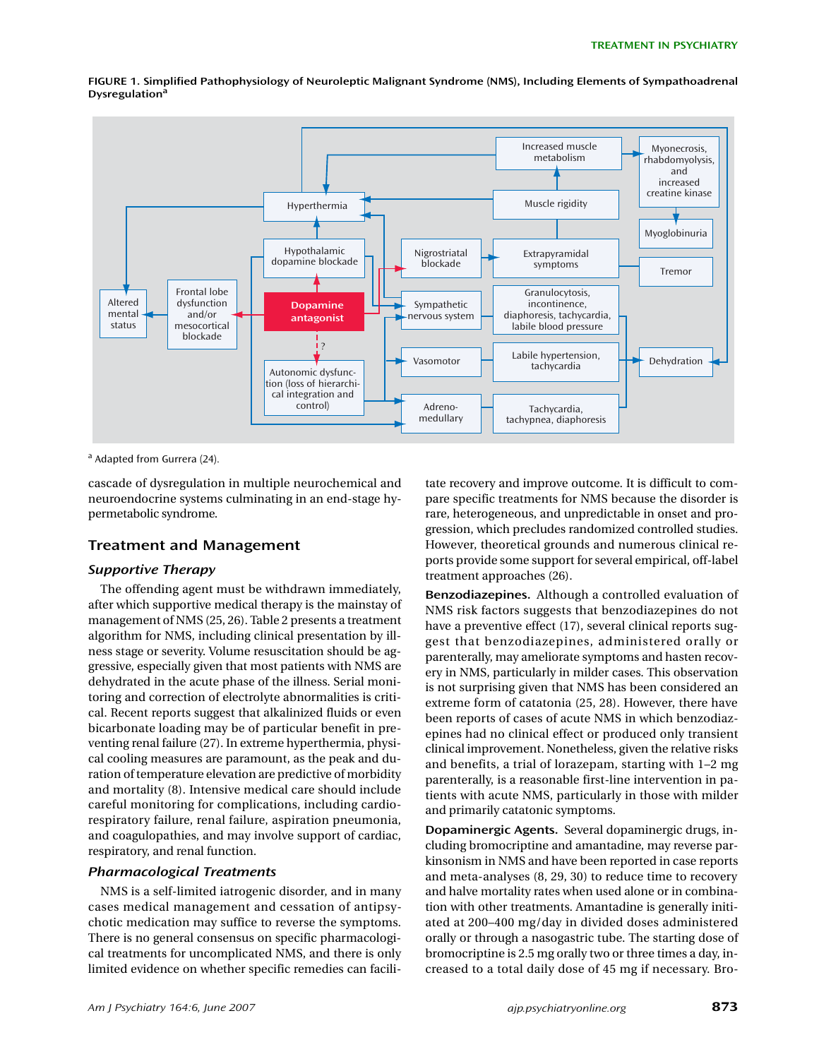

**FIGURE 1. Simplified Pathophysiology of Neuroleptic Malignant Syndrome (NMS), Including Elements of Sympathoadrenal Dysregulationa**

<sup>a</sup> Adapted from Gurrera (24).

cascade of dysregulation in multiple neurochemical and neuroendocrine systems culminating in an end-stage hypermetabolic syndrome.

## **Treatment and Management**

#### *Supportive Therapy*

The offending agent must be withdrawn immediately, after which supportive medical therapy is the mainstay of management of NMS (25, 26). Table 2 presents a treatment algorithm for NMS, including clinical presentation by illness stage or severity. Volume resuscitation should be aggressive, especially given that most patients with NMS are dehydrated in the acute phase of the illness. Serial monitoring and correction of electrolyte abnormalities is critical. Recent reports suggest that alkalinized fluids or even bicarbonate loading may be of particular benefit in preventing renal failure (27). In extreme hyperthermia, physical cooling measures are paramount, as the peak and duration of temperature elevation are predictive of morbidity and mortality (8). Intensive medical care should include careful monitoring for complications, including cardiorespiratory failure, renal failure, aspiration pneumonia, and coagulopathies, and may involve support of cardiac, respiratory, and renal function.

## *Pharmacological Treatments*

NMS is a self-limited iatrogenic disorder, and in many cases medical management and cessation of antipsychotic medication may suffice to reverse the symptoms. There is no general consensus on specific pharmacological treatments for uncomplicated NMS, and there is only limited evidence on whether specific remedies can facili-

tate recovery and improve outcome. It is difficult to compare specific treatments for NMS because the disorder is rare, heterogeneous, and unpredictable in onset and progression, which precludes randomized controlled studies. However, theoretical grounds and numerous clinical reports provide some support for several empirical, off-label treatment approaches (26).

**Benzodiazepines.** Although a controlled evaluation of NMS risk factors suggests that benzodiazepines do not have a preventive effect (17), several clinical reports suggest that benzodiazepines, administered orally or parenterally, may ameliorate symptoms and hasten recovery in NMS, particularly in milder cases. This observation is not surprising given that NMS has been considered an extreme form of catatonia (25, 28). However, there have been reports of cases of acute NMS in which benzodiazepines had no clinical effect or produced only transient clinical improvement. Nonetheless, given the relative risks and benefits, a trial of lorazepam, starting with 1–2 mg parenterally, is a reasonable first-line intervention in patients with acute NMS, particularly in those with milder and primarily catatonic symptoms.

**Dopaminergic Agents.** Several dopaminergic drugs, including bromocriptine and amantadine, may reverse parkinsonism in NMS and have been reported in case reports and meta-analyses (8, 29, 30) to reduce time to recovery and halve mortality rates when used alone or in combination with other treatments. Amantadine is generally initiated at 200–400 mg/day in divided doses administered orally or through a nasogastric tube. The starting dose of bromocriptine is 2.5 mg orally two or three times a day, increased to a total daily dose of 45 mg if necessary. Bro-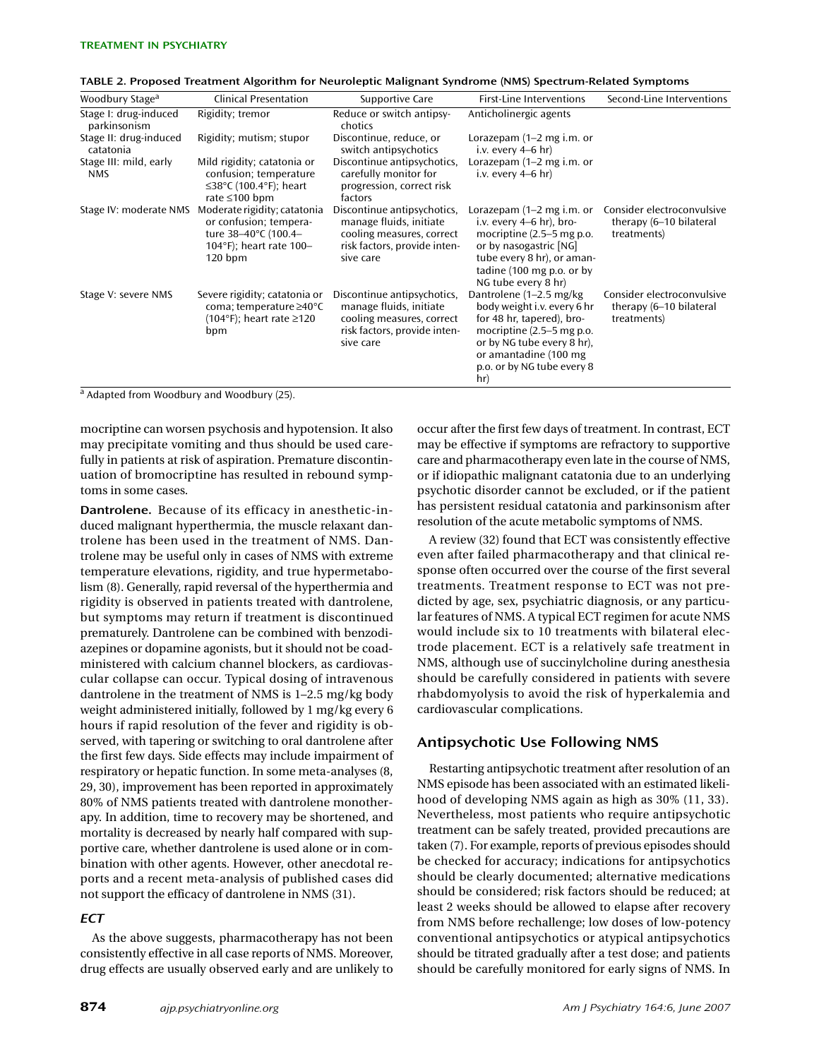| Woodbury Stage <sup>a</sup>           | <b>Clinical Presentation</b>                                                                                           | Supportive Care                                                                                                                  | <b>First-Line Interventions</b>                                                                                                                                                                                 | Second-Line Interventions                                            |
|---------------------------------------|------------------------------------------------------------------------------------------------------------------------|----------------------------------------------------------------------------------------------------------------------------------|-----------------------------------------------------------------------------------------------------------------------------------------------------------------------------------------------------------------|----------------------------------------------------------------------|
| Stage I: drug-induced<br>parkinsonism | Rigidity; tremor                                                                                                       | Reduce or switch antipsy-<br>chotics                                                                                             | Anticholinergic agents                                                                                                                                                                                          |                                                                      |
| Stage II: drug-induced<br>catatonia   | Rigidity; mutism; stupor                                                                                               | Discontinue, reduce, or<br>switch antipsychotics                                                                                 | Lorazepam $(1-2$ mg i.m. or<br>i.v. every $4-6$ hr)                                                                                                                                                             |                                                                      |
| Stage III: mild, early<br><b>NMS</b>  | Mild rigidity; catatonia or<br>confusion; temperature<br>$\leq$ 38°C (100.4°F); heart<br>rate $\leq 100$ bpm           | Discontinue antipsychotics,<br>carefully monitor for<br>progression, correct risk<br>factors                                     | Lorazepam (1–2 mg i.m. or<br>i.v. every $4-6$ hr)                                                                                                                                                               |                                                                      |
| Stage IV: moderate NMS                | Moderate rigidity; catatonia<br>or confusion; tempera-<br>ture 38-40°C (100.4-<br>104°F); heart rate 100-<br>$120$ bpm | Discontinue antipsychotics,<br>manage fluids, initiate<br>cooling measures, correct<br>risk factors, provide inten-<br>sive care | Lorazepam (1–2 mg i.m. or<br>i.v. every $4-6$ hr), bro-<br>mocriptine $(2.5-5$ mg p.o.<br>or by nasogastric [NG]<br>tube every 8 hr), or aman-<br>tadine $(100 \text{ mg p.o. or by})$<br>NG tube every 8 hr)   | Consider electroconvulsive<br>therapy (6-10 bilateral<br>treatments) |
| Stage V: severe NMS                   | Severe rigidity; catatonia or<br>coma; temperature $\geq 40^{\circ}$ C<br>(104°F); heart rate ≥120<br>bpm              | Discontinue antipsychotics,<br>manage fluids, initiate<br>cooling measures, correct<br>risk factors, provide inten-<br>sive care | Dantrolene (1–2.5 mg/kg)<br>body weight i.v. every 6 hr<br>for 48 hr, tapered), bro-<br>mocriptine $(2.5-5$ mg p.o.<br>or by NG tube every 8 hr).<br>or amantadine (100 mg<br>p.o. or by NG tube every 8<br>hr) | Consider electroconvulsive<br>therapy (6–10 bilateral<br>treatments) |

| TABLE 2. Proposed Treatment Algorithm for Neuroleptic Malignant Syndrome (NMS) Spectrum-Related Symptoms |  |
|----------------------------------------------------------------------------------------------------------|--|
|----------------------------------------------------------------------------------------------------------|--|

a Adapted from Woodbury and Woodbury (25).

mocriptine can worsen psychosis and hypotension. It also may precipitate vomiting and thus should be used carefully in patients at risk of aspiration. Premature discontinuation of bromocriptine has resulted in rebound symptoms in some cases.

**Dantrolene.** Because of its efficacy in anesthetic-induced malignant hyperthermia, the muscle relaxant dantrolene has been used in the treatment of NMS. Dantrolene may be useful only in cases of NMS with extreme temperature elevations, rigidity, and true hypermetabolism (8). Generally, rapid reversal of the hyperthermia and rigidity is observed in patients treated with dantrolene, but symptoms may return if treatment is discontinued prematurely. Dantrolene can be combined with benzodiazepines or dopamine agonists, but it should not be coadministered with calcium channel blockers, as cardiovascular collapse can occur. Typical dosing of intravenous dantrolene in the treatment of NMS is 1–2.5 mg/kg body weight administered initially, followed by 1 mg/kg every 6 hours if rapid resolution of the fever and rigidity is observed, with tapering or switching to oral dantrolene after the first few days. Side effects may include impairment of respiratory or hepatic function. In some meta-analyses (8, 29, 30), improvement has been reported in approximately 80% of NMS patients treated with dantrolene monotherapy. In addition, time to recovery may be shortened, and mortality is decreased by nearly half compared with supportive care, whether dantrolene is used alone or in combination with other agents. However, other anecdotal reports and a recent meta-analysis of published cases did not support the efficacy of dantrolene in NMS (31).

## *ECT*

As the above suggests, pharmacotherapy has not been consistently effective in all case reports of NMS. Moreover, drug effects are usually observed early and are unlikely to occur after the first few days of treatment. In contrast, ECT may be effective if symptoms are refractory to supportive care and pharmacotherapy even late in the course of NMS, or if idiopathic malignant catatonia due to an underlying psychotic disorder cannot be excluded, or if the patient has persistent residual catatonia and parkinsonism after resolution of the acute metabolic symptoms of NMS.

A review (32) found that ECT was consistently effective even after failed pharmacotherapy and that clinical response often occurred over the course of the first several treatments. Treatment response to ECT was not predicted by age, sex, psychiatric diagnosis, or any particular features of NMS. A typical ECT regimen for acute NMS would include six to 10 treatments with bilateral electrode placement. ECT is a relatively safe treatment in NMS, although use of succinylcholine during anesthesia should be carefully considered in patients with severe rhabdomyolysis to avoid the risk of hyperkalemia and cardiovascular complications.

## **Antipsychotic Use Following NMS**

Restarting antipsychotic treatment after resolution of an NMS episode has been associated with an estimated likelihood of developing NMS again as high as 30% (11, 33). Nevertheless, most patients who require antipsychotic treatment can be safely treated, provided precautions are taken (7). For example, reports of previous episodes should be checked for accuracy; indications for antipsychotics should be clearly documented; alternative medications should be considered; risk factors should be reduced; at least 2 weeks should be allowed to elapse after recovery from NMS before rechallenge; low doses of low-potency conventional antipsychotics or atypical antipsychotics should be titrated gradually after a test dose; and patients should be carefully monitored for early signs of NMS. In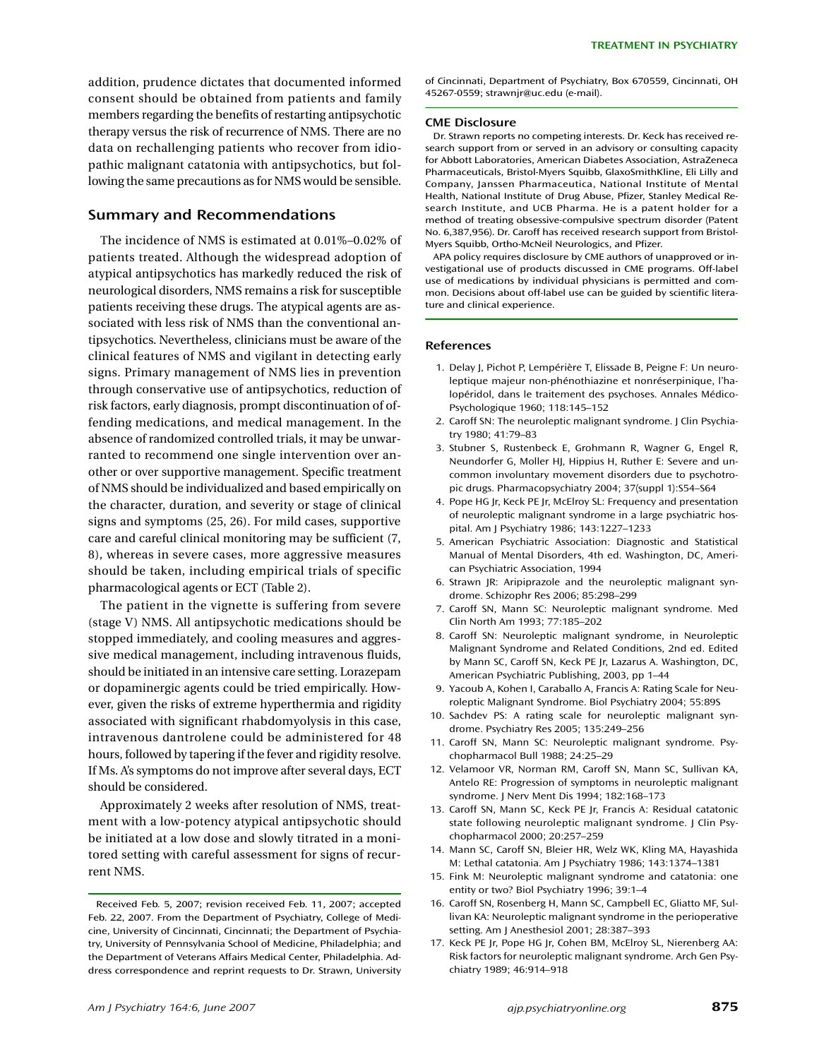addition, prudence dictates that documented informed consent should be obtained from patients and family members regarding the benefits of restarting antipsychotic therapy versus the risk of recurrence of NMS. There are no data on rechallenging patients who recover from idiopathic malignant catatonia with antipsychotics, but following the same precautions as for NMS would be sensible.

#### **Summary and Recommendations**

The incidence of NMS is estimated at 0.01%–0.02% of patients treated. Although the widespread adoption of atypical antipsychotics has markedly reduced the risk of neurological disorders, NMS remains a risk for susceptible patients receiving these drugs. The atypical agents are associated with less risk of NMS than the conventional antipsychotics. Nevertheless, clinicians must be aware of the clinical features of NMS and vigilant in detecting early signs. Primary management of NMS lies in prevention through conservative use of antipsychotics, reduction of risk factors, early diagnosis, prompt discontinuation of offending medications, and medical management. In the absence of randomized controlled trials, it may be unwarranted to recommend one single intervention over another or over supportive management. Specific treatment of NMS should be individualized and based empirically on the character, duration, and severity or stage of clinical signs and symptoms (25, 26). For mild cases, supportive care and careful clinical monitoring may be sufficient (7, 8), whereas in severe cases, more aggressive measures should be taken, including empirical trials of specific pharmacological agents or ECT (Table 2).

The patient in the vignette is suffering from severe (stage V) NMS. All antipsychotic medications should be stopped immediately, and cooling measures and aggressive medical management, including intravenous fluids, should be initiated in an intensive care setting. Lorazepam or dopaminergic agents could be tried empirically. However, given the risks of extreme hyperthermia and rigidity associated with significant rhabdomyolysis in this case, intravenous dantrolene could be administered for 48 hours, followed by tapering if the fever and rigidity resolve. If Ms. A's symptoms do not improve after several days, ECT should be considered.

Approximately 2 weeks after resolution of NMS, treatment with a low-potency atypical antipsychotic should be initiated at a low dose and slowly titrated in a monitored setting with careful assessment for signs of recurrent NMS.

of Cincinnati, Department of Psychiatry, Box 670559, Cincinnati, OH 45267-0559; strawnjr@uc.edu (e-mail).

#### **CME Disclosure**

Dr. Strawn reports no competing interests. Dr. Keck has received research support from or served in an advisory or consulting capacity for Abbott Laboratories, American Diabetes Association, AstraZeneca Pharmaceuticals, Bristol-Myers Squibb, GlaxoSmithKline, Eli Lilly and Company, Janssen Pharmaceutica, National Institute of Mental Health, National Institute of Drug Abuse, Pfizer, Stanley Medical Research Institute, and UCB Pharma. He is a patent holder for a method of treating obsessive-compulsive spectrum disorder (Patent No. 6,387,956). Dr. Caroff has received research support from Bristol-Myers Squibb, Ortho-McNeil Neurologics, and Pfizer.

APA policy requires disclosure by CME authors of unapproved or investigational use of products discussed in CME programs. Off-label use of medications by individual physicians is permitted and common. Decisions about off-label use can be guided by scientific literature and clinical experience.

#### **References**

- 1. Delay J, Pichot P, Lempérière T, Elissade B, Peigne F: Un neuroleptique majeur non-phénothiazine et nonréserpinique, l'halopéridol, dans le traitement des psychoses. Annales Médico-Psychologique 1960; 118:145–152
- 2. Caroff SN: The neuroleptic malignant syndrome. J Clin Psychiatry 1980; 41:79–83
- 3. Stubner S, Rustenbeck E, Grohmann R, Wagner G, Engel R, Neundorfer G, Moller HJ, Hippius H, Ruther E: Severe and uncommon involuntary movement disorders due to psychotropic drugs. Pharmacopsychiatry 2004; 37(suppl 1):S54–S64
- 4. Pope HG Jr, Keck PE Jr, McElroy SL: Frequency and presentation of neuroleptic malignant syndrome in a large psychiatric hospital. Am J Psychiatry 1986; 143:1227–1233
- 5. American Psychiatric Association: Diagnostic and Statistical Manual of Mental Disorders, 4th ed. Washington, DC, American Psychiatric Association, 1994
- 6. Strawn JR: Aripiprazole and the neuroleptic malignant syndrome. Schizophr Res 2006; 85:298–299
- 7. Caroff SN, Mann SC: Neuroleptic malignant syndrome. Med Clin North Am 1993; 77:185–202
- 8. Caroff SN: Neuroleptic malignant syndrome, in Neuroleptic Malignant Syndrome and Related Conditions, 2nd ed. Edited by Mann SC, Caroff SN, Keck PE Jr, Lazarus A. Washington, DC, American Psychiatric Publishing, 2003, pp 1–44
- 9. Yacoub A, Kohen I, Caraballo A, Francis A: Rating Scale for Neuroleptic Malignant Syndrome. Biol Psychiatry 2004; 55:89S
- 10. Sachdev PS: A rating scale for neuroleptic malignant syndrome. Psychiatry Res 2005; 135:249–256
- 11. Caroff SN, Mann SC: Neuroleptic malignant syndrome. Psychopharmacol Bull 1988; 24:25–29
- 12. Velamoor VR, Norman RM, Caroff SN, Mann SC, Sullivan KA, Antelo RE: Progression of symptoms in neuroleptic malignant syndrome. J Nerv Ment Dis 1994; 182:168–173
- 13. Caroff SN, Mann SC, Keck PE Jr, Francis A: Residual catatonic state following neuroleptic malignant syndrome. J Clin Psychopharmacol 2000; 20:257–259
- 14. Mann SC, Caroff SN, Bleier HR, Welz WK, Kling MA, Hayashida M: Lethal catatonia. Am J Psychiatry 1986; 143:1374–1381
- 15. Fink M: Neuroleptic malignant syndrome and catatonia: one entity or two? Biol Psychiatry 1996; 39:1–4
- 16. Caroff SN, Rosenberg H, Mann SC, Campbell EC, Gliatto MF, Sullivan KA: Neuroleptic malignant syndrome in the perioperative setting. Am J Anesthesiol 2001; 28:387–393
- 17. Keck PE Jr, Pope HG Jr, Cohen BM, McElroy SL, Nierenberg AA: Risk factors for neuroleptic malignant syndrome. Arch Gen Psychiatry 1989; 46:914–918

Received Feb. 5, 2007; revision received Feb. 11, 2007; accepted Feb. 22, 2007. From the Department of Psychiatry, College of Medicine, University of Cincinnati, Cincinnati; the Department of Psychiatry, University of Pennsylvania School of Medicine, Philadelphia; and the Department of Veterans Affairs Medical Center, Philadelphia. Address correspondence and reprint requests to Dr. Strawn, University